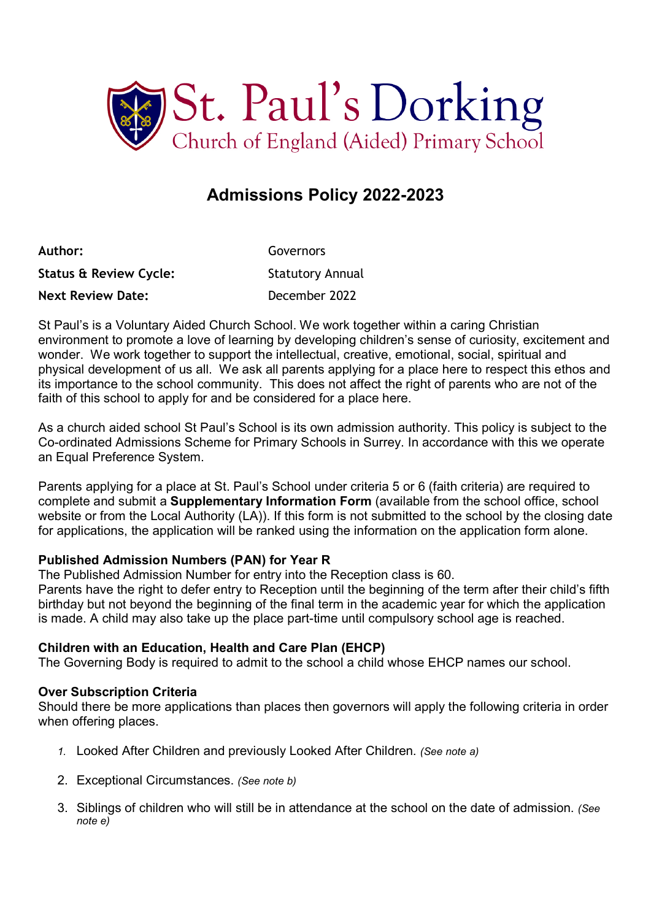

# Admissions Policy 2022-2023

| Author:                           | Governors               |
|-----------------------------------|-------------------------|
| <b>Status &amp; Review Cycle:</b> | <b>Statutory Annual</b> |
| <b>Next Review Date:</b>          | December 2022           |

St Paul's is a Voluntary Aided Church School. We work together within a caring Christian environment to promote a love of learning by developing children's sense of curiosity, excitement and wonder. We work together to support the intellectual, creative, emotional, social, spiritual and physical development of us all. We ask all parents applying for a place here to respect this ethos and its importance to the school community. This does not affect the right of parents who are not of the faith of this school to apply for and be considered for a place here.

As a church aided school St Paul's School is its own admission authority. This policy is subject to the Co-ordinated Admissions Scheme for Primary Schools in Surrey. In accordance with this we operate an Equal Preference System.

Parents applying for a place at St. Paul's School under criteria 5 or 6 (faith criteria) are required to complete and submit a Supplementary Information Form (available from the school office, school website or from the Local Authority (LA)). If this form is not submitted to the school by the closing date for applications, the application will be ranked using the information on the application form alone.

# Published Admission Numbers (PAN) for Year R

The Published Admission Number for entry into the Reception class is 60.

Parents have the right to defer entry to Reception until the beginning of the term after their child's fifth birthday but not beyond the beginning of the final term in the academic year for which the application is made. A child may also take up the place part-time until compulsory school age is reached.

# Children with an Education, Health and Care Plan (EHCP)

The Governing Body is required to admit to the school a child whose EHCP names our school.

# Over Subscription Criteria

Should there be more applications than places then governors will apply the following criteria in order when offering places.

- 1. Looked After Children and previously Looked After Children. (See note a)
- 2. Exceptional Circumstances. (See note b)
- 3. Siblings of children who will still be in attendance at the school on the date of admission. (See note e)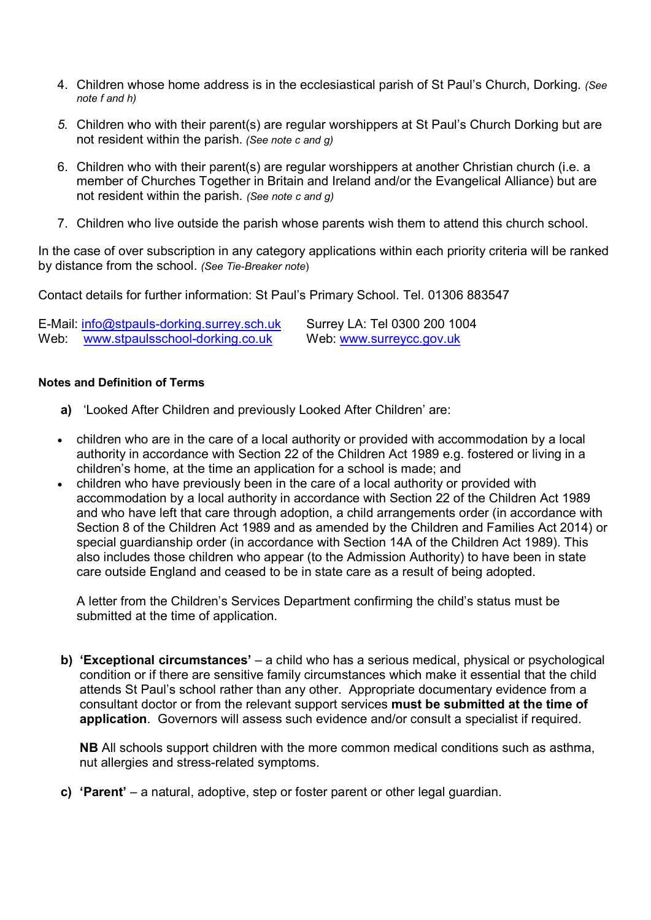- 4. Children whose home address is in the ecclesiastical parish of St Paul's Church, Dorking. (See note f and h)
- 5. Children who with their parent(s) are regular worshippers at St Paul's Church Dorking but are not resident within the parish. (See note c and g)
- 6. Children who with their parent(s) are regular worshippers at another Christian church (i.e. a member of Churches Together in Britain and Ireland and/or the Evangelical Alliance) but are not resident within the parish. (See note c and g)
- 7. Children who live outside the parish whose parents wish them to attend this church school.

In the case of over subscription in any category applications within each priority criteria will be ranked by distance from the school. (See Tie-Breaker note)

Contact details for further information: St Paul's Primary School. Tel. 01306 883547

|      | E-Mail: info@stpauls-dorking.surrey.sch.uk | Surrey LA: Tel 0300 200 1004 |
|------|--------------------------------------------|------------------------------|
| Web: | www.stpaulsschool-dorking.co.uk            | Web: www.surreycc.gov.uk     |

#### Notes and Definition of Terms

- a) 'Looked After Children and previously Looked After Children' are:
- children who are in the care of a local authority or provided with accommodation by a local authority in accordance with Section 22 of the Children Act 1989 e.g. fostered or living in a children's home, at the time an application for a school is made; and
- children who have previously been in the care of a local authority or provided with accommodation by a local authority in accordance with Section 22 of the Children Act 1989 and who have left that care through adoption, a child arrangements order (in accordance with Section 8 of the Children Act 1989 and as amended by the Children and Families Act 2014) or special guardianship order (in accordance with Section 14A of the Children Act 1989). This also includes those children who appear (to the Admission Authority) to have been in state care outside England and ceased to be in state care as a result of being adopted.

A letter from the Children's Services Department confirming the child's status must be submitted at the time of application.

b) 'Exceptional circumstances' – a child who has a serious medical, physical or psychological condition or if there are sensitive family circumstances which make it essential that the child attends St Paul's school rather than any other. Appropriate documentary evidence from a consultant doctor or from the relevant support services must be submitted at the time of application. Governors will assess such evidence and/or consult a specialist if required.

NB All schools support children with the more common medical conditions such as asthma, nut allergies and stress-related symptoms.

c) 'Parent' – a natural, adoptive, step or foster parent or other legal guardian.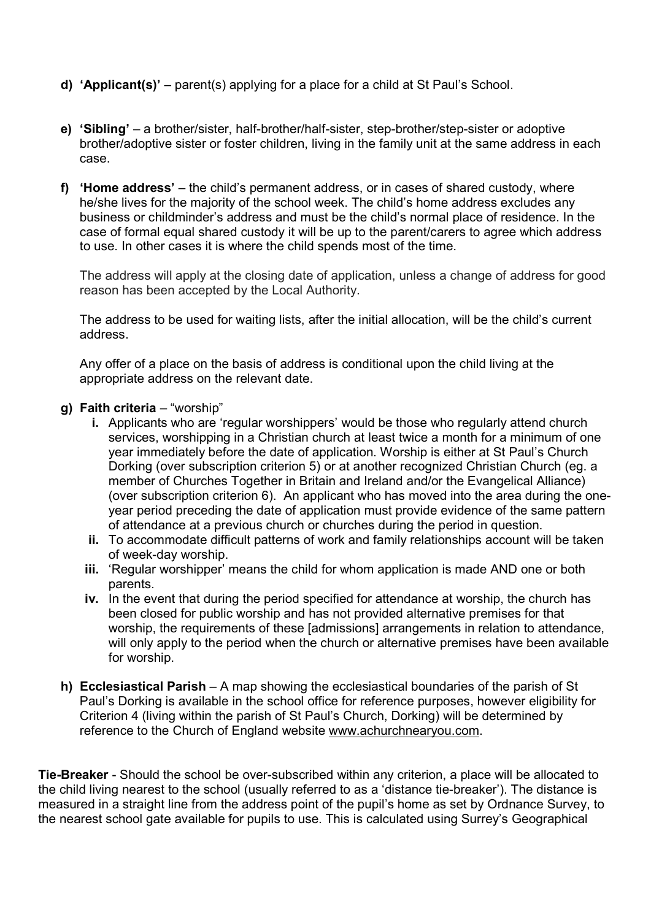- d) 'Applicant(s)' parent(s) applying for a place for a child at St Paul's School.
- e) 'Sibling' a brother/sister, half-brother/half-sister, step-brother/step-sister or adoptive brother/adoptive sister or foster children, living in the family unit at the same address in each case.
- f) 'Home address' the child's permanent address, or in cases of shared custody, where he/she lives for the majority of the school week. The child's home address excludes any business or childminder's address and must be the child's normal place of residence. In the case of formal equal shared custody it will be up to the parent/carers to agree which address to use. In other cases it is where the child spends most of the time.

The address will apply at the closing date of application, unless a change of address for good reason has been accepted by the Local Authority.

The address to be used for waiting lists, after the initial allocation, will be the child's current address.

Any offer of a place on the basis of address is conditional upon the child living at the appropriate address on the relevant date.

## g) Faith criteria – "worship"

- i. Applicants who are 'regular worshippers' would be those who regularly attend church services, worshipping in a Christian church at least twice a month for a minimum of one year immediately before the date of application. Worship is either at St Paul's Church Dorking (over subscription criterion 5) or at another recognized Christian Church (eg. a member of Churches Together in Britain and Ireland and/or the Evangelical Alliance) (over subscription criterion 6). An applicant who has moved into the area during the oneyear period preceding the date of application must provide evidence of the same pattern of attendance at a previous church or churches during the period in question.
- ii. To accommodate difficult patterns of work and family relationships account will be taken of week-day worship.
- iii. 'Regular worshipper' means the child for whom application is made AND one or both parents.
- iv. In the event that during the period specified for attendance at worship, the church has been closed for public worship and has not provided alternative premises for that worship, the requirements of these [admissions] arrangements in relation to attendance, will only apply to the period when the church or alternative premises have been available for worship.
- h) Ecclesiastical Parish A map showing the ecclesiastical boundaries of the parish of St Paul's Dorking is available in the school office for reference purposes, however eligibility for Criterion 4 (living within the parish of St Paul's Church, Dorking) will be determined by reference to the Church of England website www.achurchnearyou.com.

**Tie-Breaker** - Should the school be over-subscribed within any criterion, a place will be allocated to the child living nearest to the school (usually referred to as a 'distance tie-breaker'). The distance is measured in a straight line from the address point of the pupil's home as set by Ordnance Survey, to the nearest school gate available for pupils to use. This is calculated using Surrey's Geographical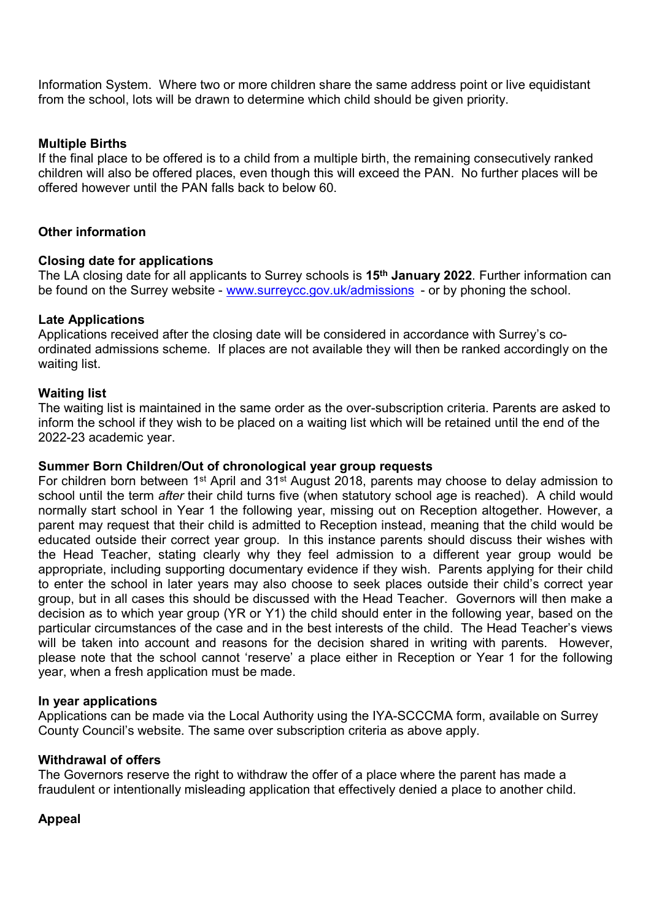Information System. Where two or more children share the same address point or live equidistant from the school, lots will be drawn to determine which child should be given priority.

## Multiple Births

If the final place to be offered is to a child from a multiple birth, the remaining consecutively ranked children will also be offered places, even though this will exceed the PAN. No further places will be offered however until the PAN falls back to below 60.

## Other information

## Closing date for applications

The LA closing date for all applicants to Surrey schools is 15<sup>th</sup> January 2022. Further information can be found on the Surrey website - www.surreycc.gov.uk/admissions - or by phoning the school.

## Late Applications

Applications received after the closing date will be considered in accordance with Surrey's coordinated admissions scheme. If places are not available they will then be ranked accordingly on the waiting list.

## Waiting list

The waiting list is maintained in the same order as the over-subscription criteria. Parents are asked to inform the school if they wish to be placed on a waiting list which will be retained until the end of the 2022-23 academic year.

#### Summer Born Children/Out of chronological year group requests

For children born between 1<sup>st</sup> April and 31<sup>st</sup> August 2018, parents may choose to delay admission to school until the term *after* their child turns five (when statutory school age is reached). A child would normally start school in Year 1 the following year, missing out on Reception altogether. However, a parent may request that their child is admitted to Reception instead, meaning that the child would be educated outside their correct year group. In this instance parents should discuss their wishes with the Head Teacher, stating clearly why they feel admission to a different year group would be appropriate, including supporting documentary evidence if they wish. Parents applying for their child to enter the school in later years may also choose to seek places outside their child's correct year group, but in all cases this should be discussed with the Head Teacher. Governors will then make a decision as to which year group (YR or Y1) the child should enter in the following year, based on the particular circumstances of the case and in the best interests of the child. The Head Teacher's views will be taken into account and reasons for the decision shared in writing with parents. However, please note that the school cannot 'reserve' a place either in Reception or Year 1 for the following year, when a fresh application must be made.

#### In year applications

Applications can be made via the Local Authority using the IYA-SCCCMA form, available on Surrey County Council's website. The same over subscription criteria as above apply.

#### Withdrawal of offers

The Governors reserve the right to withdraw the offer of a place where the parent has made a fraudulent or intentionally misleading application that effectively denied a place to another child.

#### Appeal